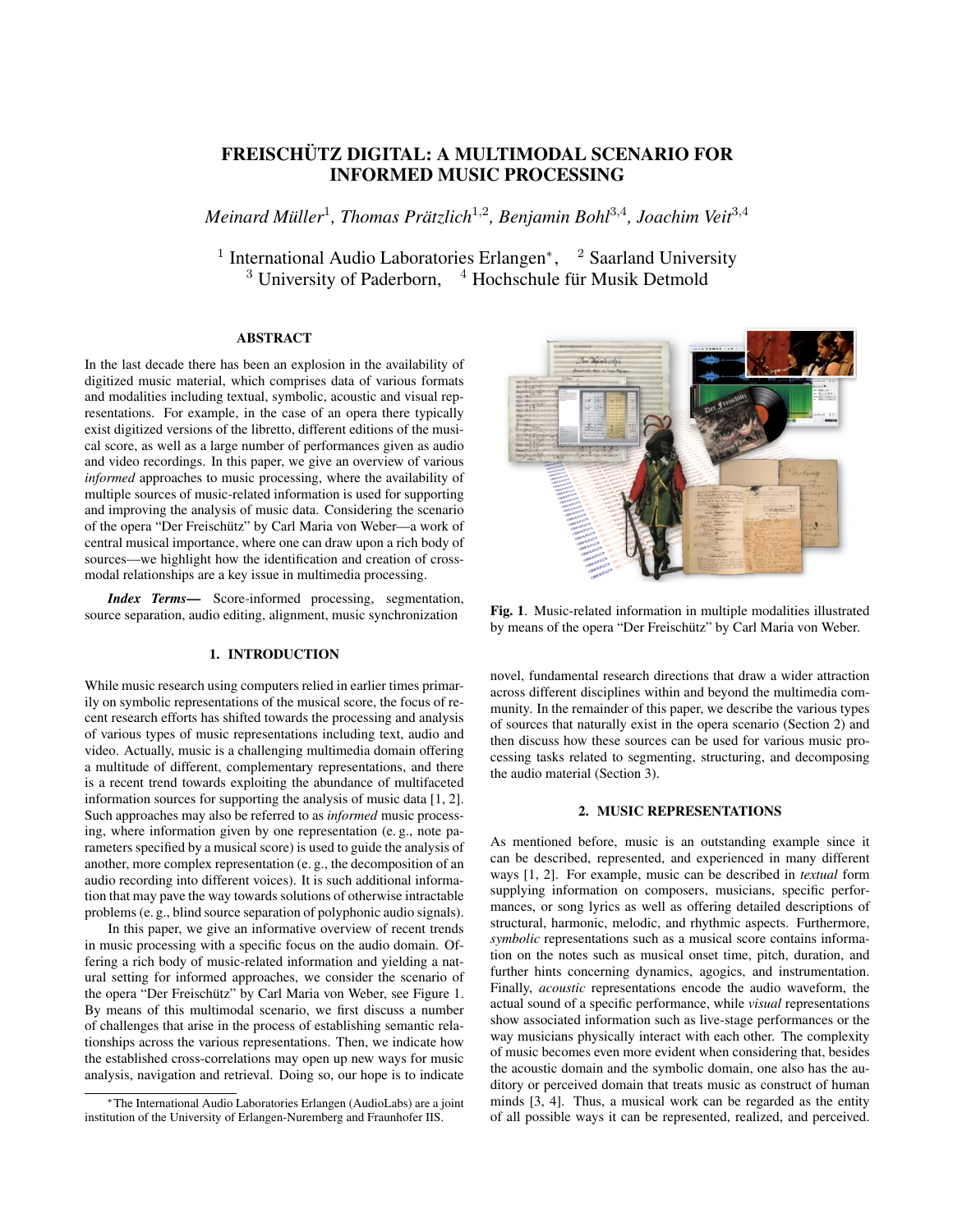# FREISCHÜTZ DIGITAL: A MULTIMODAL SCENARIO FOR INFORMED MUSIC PROCESSING

 $M$ einard Müller $^1$ , Thomas Prätzlich $^{1,2}$ , Benjamin Bohl $^{3,4}$ , Joachim Veit $^{3,4}$ 

<sup>1</sup> International Audio Laboratories Erlangen<sup>\*</sup>, <sup>2</sup> Saarland University  $3$  University of Paderborn,  $4$  Hochschule für Musik Detmold

# ABSTRACT

In the last decade there has been an explosion in the availability of digitized music material, which comprises data of various formats and modalities including textual, symbolic, acoustic and visual representations. For example, in the case of an opera there typically exist digitized versions of the libretto, different editions of the musical score, as well as a large number of performances given as audio and video recordings. In this paper, we give an overview of various *informed* approaches to music processing, where the availability of multiple sources of music-related information is used for supporting and improving the analysis of music data. Considering the scenario of the opera "Der Freischütz" by Carl Maria von Weber—a work of central musical importance, where one can draw upon a rich body of sources—we highlight how the identification and creation of crossmodal relationships are a key issue in multimedia processing.

*Index Terms*— Score-informed processing, segmentation, source separation, audio editing, alignment, music synchronization

#### 1. INTRODUCTION

While music research using computers relied in earlier times primarily on symbolic representations of the musical score, the focus of recent research efforts has shifted towards the processing and analysis of various types of music representations including text, audio and video. Actually, music is a challenging multimedia domain offering a multitude of different, complementary representations, and there is a recent trend towards exploiting the abundance of multifaceted information sources for supporting the analysis of music data [1, 2]. Such approaches may also be referred to as *informed* music processing, where information given by one representation (e. g., note parameters specified by a musical score) is used to guide the analysis of another, more complex representation (e. g., the decomposition of an audio recording into different voices). It is such additional information that may pave the way towards solutions of otherwise intractable problems (e. g., blind source separation of polyphonic audio signals).

In this paper, we give an informative overview of recent trends in music processing with a specific focus on the audio domain. Offering a rich body of music-related information and yielding a natural setting for informed approaches, we consider the scenario of the opera "Der Freischütz" by Carl Maria von Weber, see Figure 1. By means of this multimodal scenario, we first discuss a number of challenges that arise in the process of establishing semantic relationships across the various representations. Then, we indicate how the established cross-correlations may open up new ways for music analysis, navigation and retrieval. Doing so, our hope is to indicate



Fig. 1. Music-related information in multiple modalities illustrated by means of the opera "Der Freischütz" by Carl Maria von Weber.

novel, fundamental research directions that draw a wider attraction across different disciplines within and beyond the multimedia community. In the remainder of this paper, we describe the various types of sources that naturally exist in the opera scenario (Section 2) and then discuss how these sources can be used for various music processing tasks related to segmenting, structuring, and decomposing the audio material (Section 3).

#### 2. MUSIC REPRESENTATIONS

As mentioned before, music is an outstanding example since it can be described, represented, and experienced in many different ways [1, 2]. For example, music can be described in *textual* form supplying information on composers, musicians, specific performances, or song lyrics as well as offering detailed descriptions of structural, harmonic, melodic, and rhythmic aspects. Furthermore, *symbolic* representations such as a musical score contains information on the notes such as musical onset time, pitch, duration, and further hints concerning dynamics, agogics, and instrumentation. Finally, *acoustic* representations encode the audio waveform, the actual sound of a specific performance, while *visual* representations show associated information such as live-stage performances or the way musicians physically interact with each other. The complexity of music becomes even more evident when considering that, besides the acoustic domain and the symbolic domain, one also has the auditory or perceived domain that treats music as construct of human minds [3, 4]. Thus, a musical work can be regarded as the entity of all possible ways it can be represented, realized, and perceived.

<sup>∗</sup>The International Audio Laboratories Erlangen (AudioLabs) are a joint institution of the University of Erlangen-Nuremberg and Fraunhofer IIS.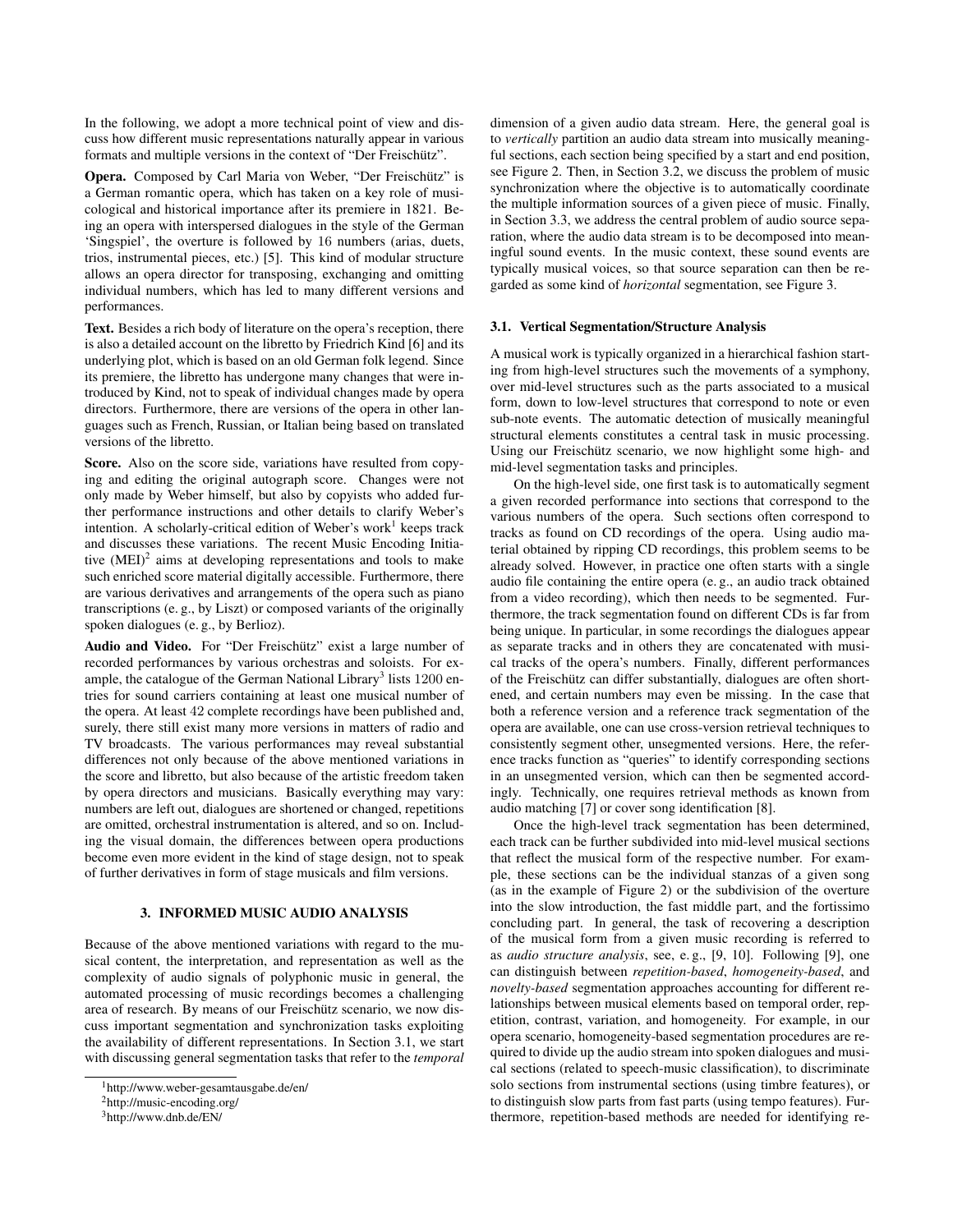In the following, we adopt a more technical point of view and discuss how different music representations naturally appear in various formats and multiple versions in the context of "Der Freischütz".

Opera. Composed by Carl Maria von Weber, "Der Freischütz" is a German romantic opera, which has taken on a key role of musicological and historical importance after its premiere in 1821. Being an opera with interspersed dialogues in the style of the German 'Singspiel', the overture is followed by 16 numbers (arias, duets, trios, instrumental pieces, etc.) [5]. This kind of modular structure allows an opera director for transposing, exchanging and omitting individual numbers, which has led to many different versions and performances.

Text. Besides a rich body of literature on the opera's reception, there is also a detailed account on the libretto by Friedrich Kind [6] and its underlying plot, which is based on an old German folk legend. Since its premiere, the libretto has undergone many changes that were introduced by Kind, not to speak of individual changes made by opera directors. Furthermore, there are versions of the opera in other languages such as French, Russian, or Italian being based on translated versions of the libretto.

Score. Also on the score side, variations have resulted from copying and editing the original autograph score. Changes were not only made by Weber himself, but also by copyists who added further performance instructions and other details to clarify Weber's intention. A scholarly-critical edition of Weber's work<sup>1</sup> keeps track and discusses these variations. The recent Music Encoding Initiative  $(MEI)^2$  aims at developing representations and tools to make such enriched score material digitally accessible. Furthermore, there are various derivatives and arrangements of the opera such as piano transcriptions (e. g., by Liszt) or composed variants of the originally spoken dialogues (e. g., by Berlioz).

Audio and Video. For "Der Freischütz" exist a large number of recorded performances by various orchestras and soloists. For example, the catalogue of the German National Library<sup>3</sup> lists 1200 entries for sound carriers containing at least one musical number of the opera. At least 42 complete recordings have been published and, surely, there still exist many more versions in matters of radio and TV broadcasts. The various performances may reveal substantial differences not only because of the above mentioned variations in the score and libretto, but also because of the artistic freedom taken by opera directors and musicians. Basically everything may vary: numbers are left out, dialogues are shortened or changed, repetitions are omitted, orchestral instrumentation is altered, and so on. Including the visual domain, the differences between opera productions become even more evident in the kind of stage design, not to speak of further derivatives in form of stage musicals and film versions.

## 3. INFORMED MUSIC AUDIO ANALYSIS

Because of the above mentioned variations with regard to the musical content, the interpretation, and representation as well as the complexity of audio signals of polyphonic music in general, the automated processing of music recordings becomes a challenging area of research. By means of our Freischütz scenario, we now discuss important segmentation and synchronization tasks exploiting the availability of different representations. In Section 3.1, we start with discussing general segmentation tasks that refer to the *temporal* dimension of a given audio data stream. Here, the general goal is to *vertically* partition an audio data stream into musically meaningful sections, each section being specified by a start and end position, see Figure 2. Then, in Section 3.2, we discuss the problem of music synchronization where the objective is to automatically coordinate the multiple information sources of a given piece of music. Finally, in Section 3.3, we address the central problem of audio source separation, where the audio data stream is to be decomposed into meaningful sound events. In the music context, these sound events are typically musical voices, so that source separation can then be regarded as some kind of *horizontal* segmentation, see Figure 3.

## 3.1. Vertical Segmentation/Structure Analysis

A musical work is typically organized in a hierarchical fashion starting from high-level structures such the movements of a symphony, over mid-level structures such as the parts associated to a musical form, down to low-level structures that correspond to note or even sub-note events. The automatic detection of musically meaningful structural elements constitutes a central task in music processing. Using our Freischütz scenario, we now highlight some high- and mid-level segmentation tasks and principles.

On the high-level side, one first task is to automatically segment a given recorded performance into sections that correspond to the various numbers of the opera. Such sections often correspond to tracks as found on CD recordings of the opera. Using audio material obtained by ripping CD recordings, this problem seems to be already solved. However, in practice one often starts with a single audio file containing the entire opera (e. g., an audio track obtained from a video recording), which then needs to be segmented. Furthermore, the track segmentation found on different CDs is far from being unique. In particular, in some recordings the dialogues appear as separate tracks and in others they are concatenated with musical tracks of the opera's numbers. Finally, different performances of the Freischütz can differ substantially, dialogues are often shortened, and certain numbers may even be missing. In the case that both a reference version and a reference track segmentation of the opera are available, one can use cross-version retrieval techniques to consistently segment other, unsegmented versions. Here, the reference tracks function as "queries" to identify corresponding sections in an unsegmented version, which can then be segmented accordingly. Technically, one requires retrieval methods as known from audio matching [7] or cover song identification [8].

Once the high-level track segmentation has been determined, each track can be further subdivided into mid-level musical sections that reflect the musical form of the respective number. For example, these sections can be the individual stanzas of a given song (as in the example of Figure 2) or the subdivision of the overture into the slow introduction, the fast middle part, and the fortissimo concluding part. In general, the task of recovering a description of the musical form from a given music recording is referred to as *audio structure analysis*, see, e. g., [9, 10]. Following [9], one can distinguish between *repetition-based*, *homogeneity-based*, and *novelty-based* segmentation approaches accounting for different relationships between musical elements based on temporal order, repetition, contrast, variation, and homogeneity. For example, in our opera scenario, homogeneity-based segmentation procedures are required to divide up the audio stream into spoken dialogues and musical sections (related to speech-music classification), to discriminate solo sections from instrumental sections (using timbre features), or to distinguish slow parts from fast parts (using tempo features). Furthermore, repetition-based methods are needed for identifying re-

<sup>1</sup>http://www.weber-gesamtausgabe.de/en/

<sup>2</sup>http://music-encoding.org/

<sup>3</sup>http://www.dnb.de/EN/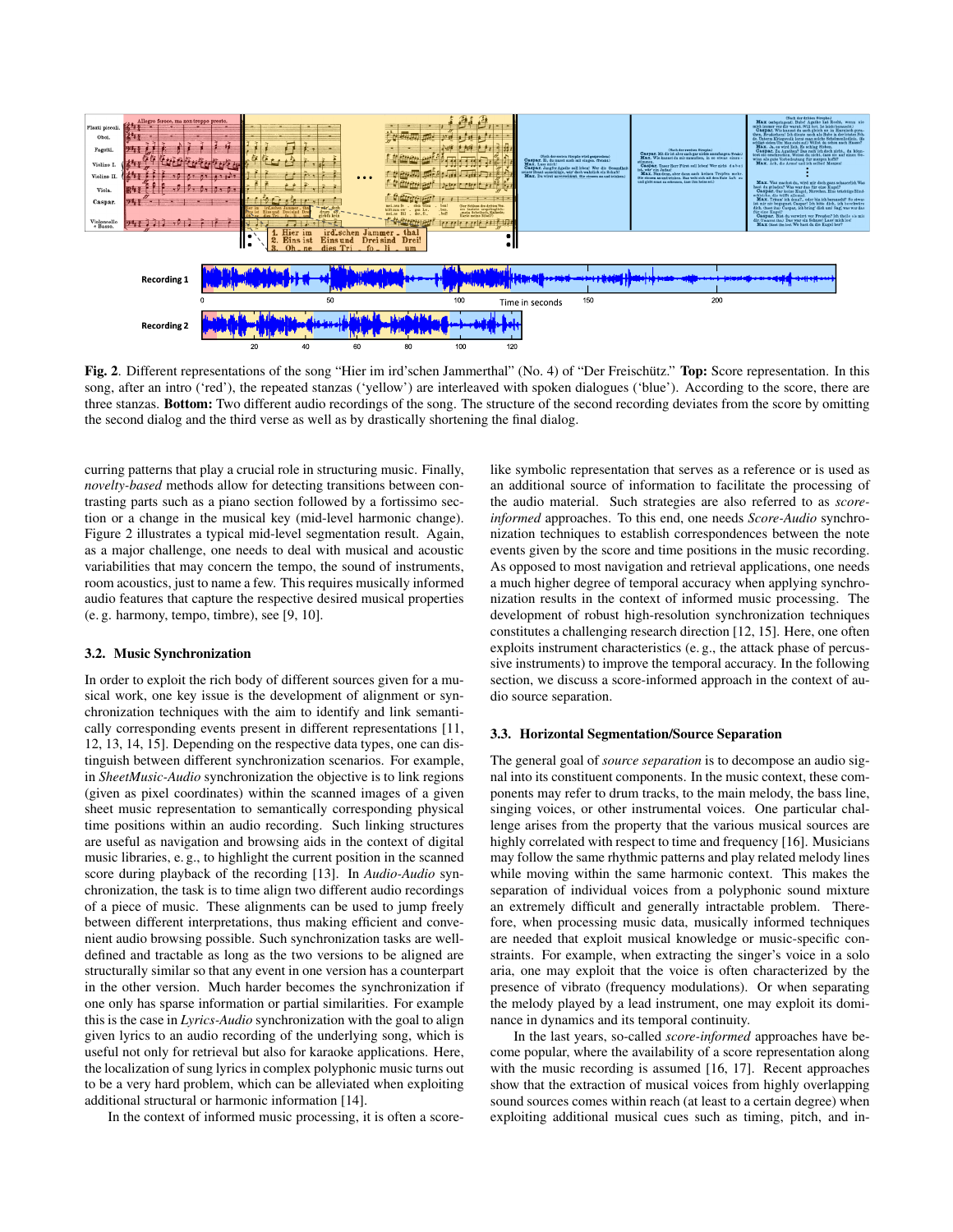

Fig. 2. Different representations of the song "Hier im ird'schen Jammerthal" (No. 4) of "Der Freischütz." Top: Score representation. In this song, after an intro ('red'), the repeated stanzas ('yellow') are interleaved with spoken dialogues ('blue'). According to the score, there are three stanzas. Bottom: Two different audio recordings of the song. The structure of the second recording deviates from the score by omitting the second dialog and the third verse as well as by drastically shortening the final dialog.

curring patterns that play a crucial role in structuring music. Finally, *novelty-based* methods allow for detecting transitions between contrasting parts such as a piano section followed by a fortissimo section or a change in the musical key (mid-level harmonic change). Figure 2 illustrates a typical mid-level segmentation result. Again, as a major challenge, one needs to deal with musical and acoustic variabilities that may concern the tempo, the sound of instruments, room acoustics, just to name a few. This requires musically informed audio features that capture the respective desired musical properties (e. g. harmony, tempo, timbre), see [9, 10].

#### 3.2. Music Synchronization

In order to exploit the rich body of different sources given for a musical work, one key issue is the development of alignment or synchronization techniques with the aim to identify and link semantically corresponding events present in different representations [11, 12, 13, 14, 15]. Depending on the respective data types, one can distinguish between different synchronization scenarios. For example, in *SheetMusic-Audio* synchronization the objective is to link regions (given as pixel coordinates) within the scanned images of a given sheet music representation to semantically corresponding physical time positions within an audio recording. Such linking structures are useful as navigation and browsing aids in the context of digital music libraries, e. g., to highlight the current position in the scanned score during playback of the recording [13]. In *Audio-Audio* synchronization, the task is to time align two different audio recordings of a piece of music. These alignments can be used to jump freely between different interpretations, thus making efficient and convenient audio browsing possible. Such synchronization tasks are welldefined and tractable as long as the two versions to be aligned are structurally similar so that any event in one version has a counterpart in the other version. Much harder becomes the synchronization if one only has sparse information or partial similarities. For example this is the case in *Lyrics-Audio* synchronization with the goal to align given lyrics to an audio recording of the underlying song, which is useful not only for retrieval but also for karaoke applications. Here, the localization of sung lyrics in complex polyphonic music turns out to be a very hard problem, which can be alleviated when exploiting additional structural or harmonic information [14].

In the context of informed music processing, it is often a score-

like symbolic representation that serves as a reference or is used as an additional source of information to facilitate the processing of the audio material. Such strategies are also referred to as *scoreinformed* approaches. To this end, one needs *Score-Audio* synchronization techniques to establish correspondences between the note events given by the score and time positions in the music recording. As opposed to most navigation and retrieval applications, one needs a much higher degree of temporal accuracy when applying synchronization results in the context of informed music processing. The development of robust high-resolution synchronization techniques constitutes a challenging research direction [12, 15]. Here, one often exploits instrument characteristics (e. g., the attack phase of percussive instruments) to improve the temporal accuracy. In the following section, we discuss a score-informed approach in the context of audio source separation.

#### 3.3. Horizontal Segmentation/Source Separation

The general goal of *source separation* is to decompose an audio signal into its constituent components. In the music context, these components may refer to drum tracks, to the main melody, the bass line, singing voices, or other instrumental voices. One particular challenge arises from the property that the various musical sources are highly correlated with respect to time and frequency [16]. Musicians may follow the same rhythmic patterns and play related melody lines while moving within the same harmonic context. This makes the separation of individual voices from a polyphonic sound mixture an extremely difficult and generally intractable problem. Therefore, when processing music data, musically informed techniques are needed that exploit musical knowledge or music-specific constraints. For example, when extracting the singer's voice in a solo aria, one may exploit that the voice is often characterized by the presence of vibrato (frequency modulations). Or when separating the melody played by a lead instrument, one may exploit its dominance in dynamics and its temporal continuity.

In the last years, so-called *score-informed* approaches have become popular, where the availability of a score representation along with the music recording is assumed [16, 17]. Recent approaches show that the extraction of musical voices from highly overlapping sound sources comes within reach (at least to a certain degree) when exploiting additional musical cues such as timing, pitch, and in-